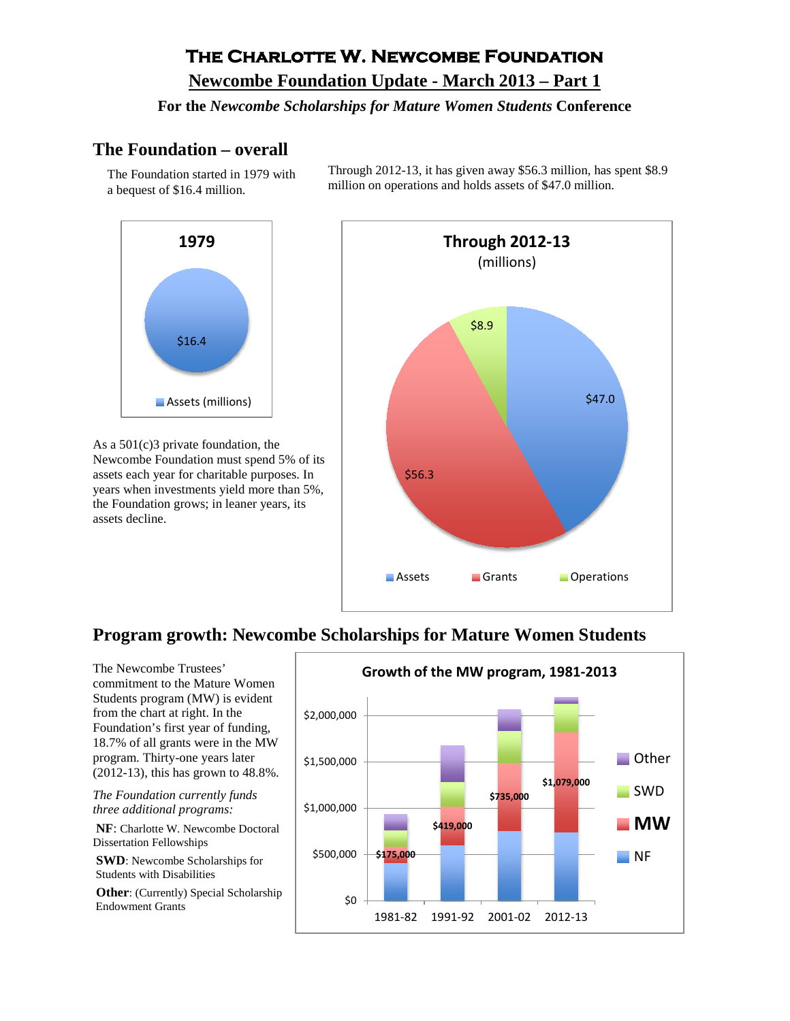# **The Charlotte W. Newcombe Foundation**

#### **Newcombe Foundation Update - March 2013 – Part 1**

#### **For the** *Newcombe Scholarships for Mature Women Students* **Conference**

#### **The Foundation – overall**

The Foundation started in 1979 with a bequest of \$16.4 million.



As a 501(c)3 private foundation, the Newcombe Foundation must spend 5% of its assets each year for charitable purposes. In years when investments yield more than 5%, the Foundation grows; in leaner years, its assets decline.

Through 2012-13, it has given away \$56.3 million, has spent \$8.9 million on operations and holds assets of \$47.0 million.



## **Program growth: Newcombe Scholarships for Mature Women Students**

The Newcombe Trustees' commitment to the Mature Women Students program (MW) is evident from the chart at right. In the Foundation's first year of funding, 18.7% of all grants were in the MW program. Thirty-one years later (2012-13), this has grown to 48.8%.

*The Foundation currently funds three additional programs:*

**NF**: Charlotte W. Newcombe Doctoral Dissertation Fellowships

**SWD**: Newcombe Scholarships for Students with Disabilities

**Other**: (Currently) Special Scholarship Endowment Grants

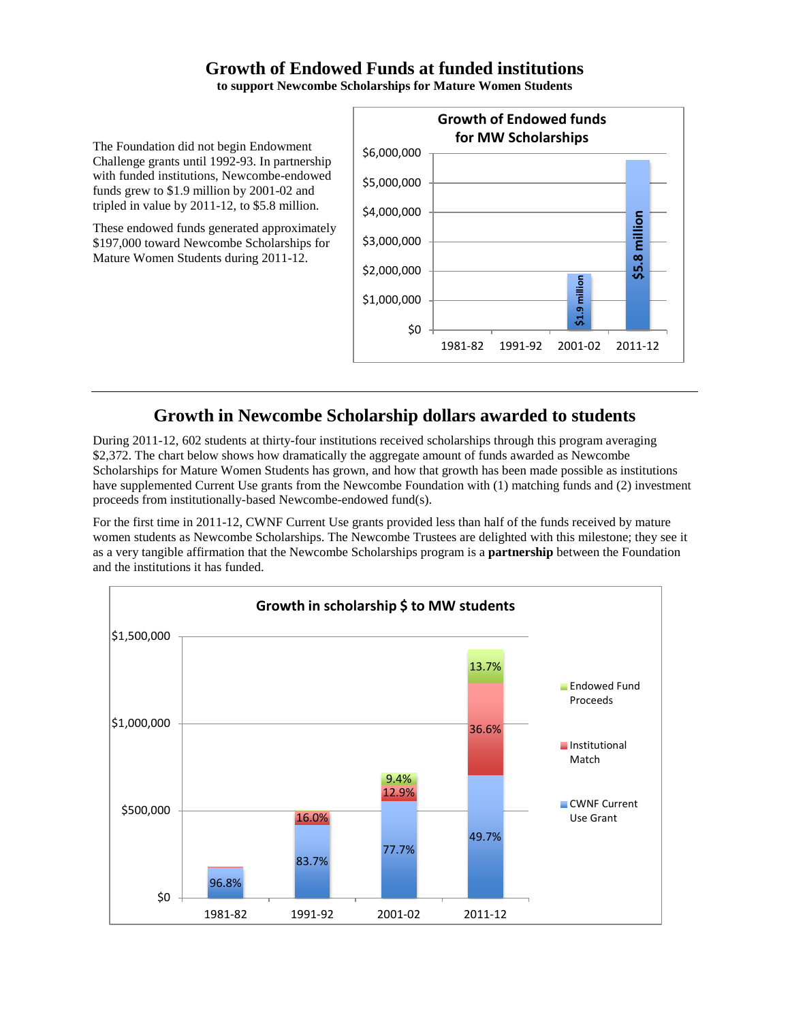## **Growth of Endowed Funds at funded institutions**

**to support Newcombe Scholarships for Mature Women Students**

The Foundation did not begin Endowment Challenge grants until 1992-93. In partnership with funded institutions, Newcombe-endowed funds grew to \$1.9 million by 2001-02 and tripled in value by 2011-12, to \$5.8 million.

These endowed funds generated approximately \$197,000 toward Newcombe Scholarships for Mature Women Students during 2011-12.



## **Growth in Newcombe Scholarship dollars awarded to students**

During 2011-12, 602 students at thirty-four institutions received scholarships through this program averaging \$2,372. The chart below shows how dramatically the aggregate amount of funds awarded as Newcombe Scholarships for Mature Women Students has grown, and how that growth has been made possible as institutions have supplemented Current Use grants from the Newcombe Foundation with (1) matching funds and (2) investment proceeds from institutionally-based Newcombe-endowed fund(s).

For the first time in 2011-12, CWNF Current Use grants provided less than half of the funds received by mature women students as Newcombe Scholarships. The Newcombe Trustees are delighted with this milestone; they see it as a very tangible affirmation that the Newcombe Scholarships program is a **partnership** between the Foundation and the institutions it has funded.